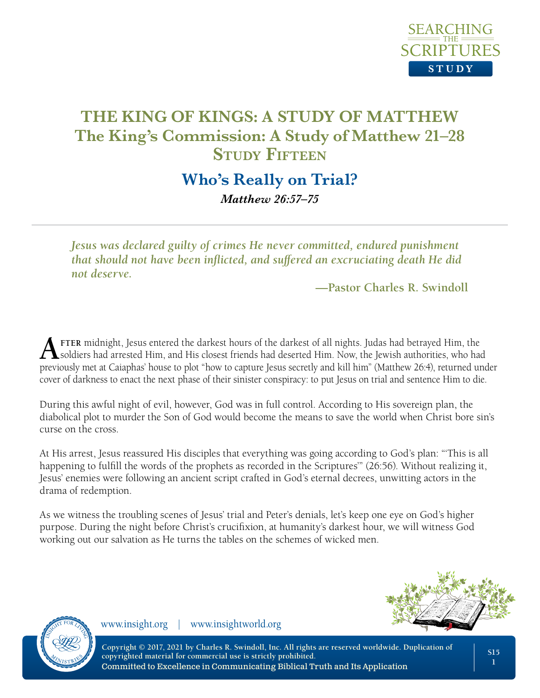

# **Who's Really on Trial?** *Matthew 26:57–75*

*Jesus was declared guilty of crimes He never committed, endured punishment that should not have been inflicted, and suffered an excruciating death He did not deserve.*

**—Pastor Charles R. Swindoll**

**A** FTER midnight, Jesus entered the darkest hours of the darkest of all nights. Judas had betrayed Him, the soldiers had arrested Him, and His closest friends had deserted Him. Now, the Jewish authorities, who had previously met at Caiaphas' house to plot "how to capture Jesus secretly and kill him" (Matthew 26:4), returned under cover of darkness to enact the next phase of their sinister conspiracy: to put Jesus on trial and sentence Him to die.

During this awful night of evil, however, God was in full control. According to His sovereign plan, the diabolical plot to murder the Son of God would become the means to save the world when Christ bore sin's curse on the cross.

At His arrest, Jesus reassured His disciples that everything was going according to God's plan: "'This is all happening to fulfill the words of the prophets as recorded in the Scriptures'" (26:56). Without realizing it, Jesus' enemies were following an ancient script crafted in God's eternal decrees, unwitting actors in the drama of redemption.

As we witness the troubling scenes of Jesus' trial and Peter's denials, let's keep one eye on God's higher purpose. During the night before Christ's crucifixion, at humanity's darkest hour, we will witness God working out our salvation as He turns the tables on the schemes of wicked men.





www.insight.org | www.insightworld.org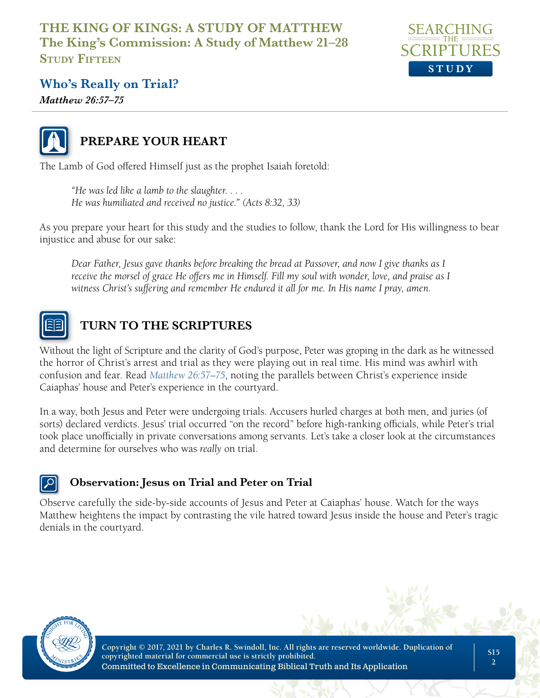

# **Who's Really on Trial?**

*Matthew 26:57–75*



# **PREPARE YOUR HEART**

The Lamb of God offered Himself just as the prophet Isaiah foretold:

*"He was led like a lamb to the slaughter. . . . He was humiliated and received no justice." (Acts 8:32, 33)*

As you prepare your heart for this study and the studies to follow, thank the Lord for His willingness to bear injustice and abuse for our sake:

*Dear Father, Jesus gave thanks before breaking the bread at Passover, and now I give thanks as I receive the morsel of grace He offers me in Himself. Fill my soul with wonder, love, and praise as I witness Christ's suffering and remember He endured it all for me. In His name I pray, amen.*



# **TURN TO THE SCRIPTURES**

Without the light of Scripture and the clarity of God's purpose, Peter was groping in the dark as he witnessed the horror of Christ's arrest and trial as they were playing out in real time. His mind was awhirl with confusion and fear. Read *Matthew 26:57–75*, noting the parallels between Christ's experience inside Caiaphas' house and Peter's experience in the courtyard.

In a way, both Jesus and Peter were undergoing trials. Accusers hurled charges at both men, and juries (of sorts) declared verdicts. Jesus' trial occurred "on the record" before high-ranking officials, while Peter's trial took place unofficially in private conversations among servants. Let's take a closer look at the circumstances and determine for ourselves who was *really* on trial.

### **Observation: Jesus on Trial and Peter on Trial**

Observe carefully the side-by-side accounts of Jesus and Peter at Caiaphas' house. Watch for the ways Matthew heightens the impact by contrasting the vile hatred toward Jesus inside the house and Peter's tragic denials in the courtyard.

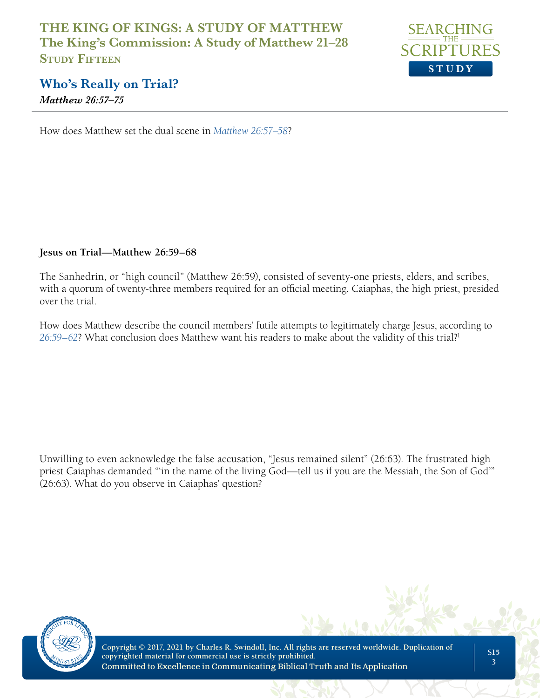

# **Who's Really on Trial?**

*Matthew 26:57–75*

How does Matthew set the dual scene in *Matthew 26:57–58*?

#### **Jesus on Trial—Matthew 26:59–68**

The Sanhedrin, or "high council" (Matthew 26:59), consisted of seventy-one priests, elders, and scribes, with a quorum of twenty-three members required for an official meeting. Caiaphas, the high priest, presided over the trial.

How does Matthew describe the council members' futile attempts to legitimately charge Jesus, according to *26:59–62*? What conclusion does Matthew want his readers to make about the validity of this trial?1

Unwilling to even acknowledge the false accusation, "Jesus remained silent" (26:63). The frustrated high priest Caiaphas demanded "'in the name of the living God—tell us if you are the Messiah, the Son of God'" (26:63). What do you observe in Caiaphas' question?

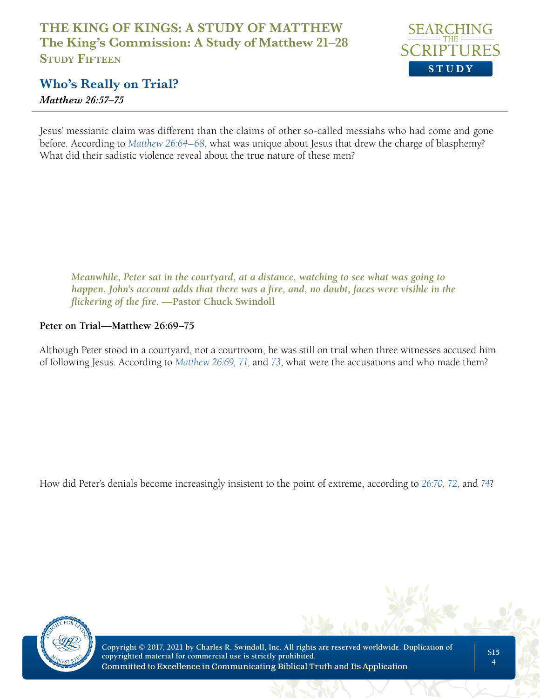

# **Who's Really on Trial?**

*Matthew 26:57–75*

Jesus' messianic claim was different than the claims of other so-called messiahs who had come and gone before. According to *Matthew 26:64–68*, what was unique about Jesus that drew the charge of blasphemy? What did their sadistic violence reveal about the true nature of these men?

*Meanwhile, Peter sat in the courtyard, at a distance, watching to see what was going to happen. John's account adds that there was a fire, and, no doubt, faces were visible in the flickering of the fire.* **—Pastor Chuck Swindoll**

#### **Peter on Trial—Matthew 26:69–75**

Although Peter stood in a courtyard, not a courtroom, he was still on trial when three witnesses accused him of following Jesus. According to *Matthew 26:69, 71,* and *73*, what were the accusations and who made them?

How did Peter's denials become increasingly insistent to the point of extreme, according to *26:70, 72,* and *74*?

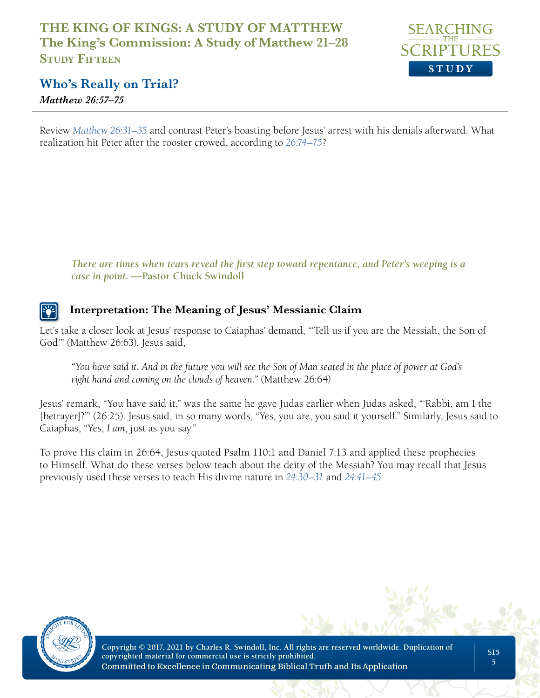

# **Who's Really on Trial?**

*Matthew 26:57–75*

Review *Matthew 26:31–35* and contrast Peter's boasting before Jesus' arrest with his denials afterward. What realization hit Peter after the rooster crowed, according to *26:74–75*?

*There are times when tears reveal the first step toward repentance, and Peter's weeping is a case in point.* **—Pastor Chuck Swindoll**

### **Interpretation: The Meaning of Jesus' Messianic Claim**

Let's take a closer look at Jesus' response to Caiaphas' demand, "'Tell us if you are the Messiah, the Son of God'" (Matthew 26:63). Jesus said,

*"You have said it. And in the future you will see the Son of Man seated in the place of power at God's right hand and coming on the clouds of heaven."* (Matthew 26:64)

Jesus' remark, "You have said it," was the same he gave Judas earlier when Judas asked, "'Rabbi, am I the [betrayer]?'" (26:25). Jesus said, in so many words, "Yes, you are, you said it yourself." Similarly, Jesus said to Caiaphas, "Yes, *I am*, just as you say."

To prove His claim in 26:64, Jesus quoted Psalm 110:1 and Daniel 7:13 and applied these prophecies to Himself. What do these verses below teach about the deity of the Messiah? You may recall that Jesus previously used these verses to teach His divine nature in *24:30–31* and *24:41–45*.

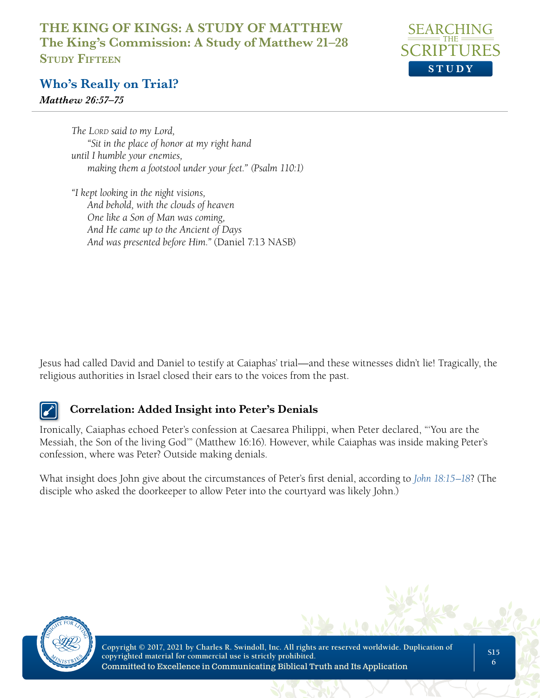

# **Who's Really on Trial?**

*Matthew 26:57–75*

*The Lord said to my Lord, "Sit in the place of honor at my right hand until I humble your enemies, making them a footstool under your feet." (Psalm 110:1)*

*"I kept looking in the night visions, And behold, with the clouds of heaven One like a Son of Man was coming, And He came up to the Ancient of Days And was presented before Him."* (Daniel 7:13 NASB)

Jesus had called David and Daniel to testify at Caiaphas' trial—and these witnesses didn't lie! Tragically, the religious authorities in Israel closed their ears to the voices from the past.

## **Correlation: Added Insight into Peter's Denials**

Ironically, Caiaphas echoed Peter's confession at Caesarea Philippi, when Peter declared, "'You are the Messiah, the Son of the living God'" (Matthew 16:16). However, while Caiaphas was inside making Peter's confession, where was Peter? Outside making denials.

What insight does John give about the circumstances of Peter's first denial, according to *John 18:15–18*? (The disciple who asked the doorkeeper to allow Peter into the courtyard was likely John.)

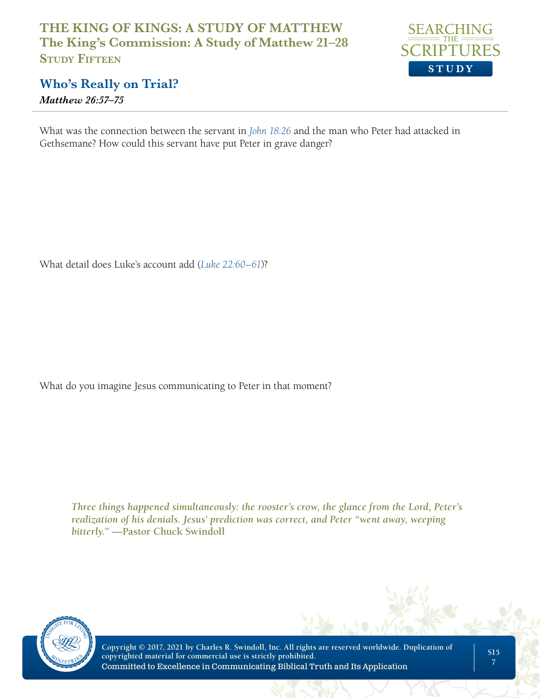

# **Who's Really on Trial?**

*Matthew 26:57–75*

What was the connection between the servant in *John 18:26* and the man who Peter had attacked in Gethsemane? How could this servant have put Peter in grave danger?

What detail does Luke's account add (*Luke 22:60–61*)?

What do you imagine Jesus communicating to Peter in that moment?

*Three things happened simultaneously: the rooster's crow, the glance from the Lord, Peter's realization of his denials. Jesus' prediction was correct, and Peter "went away, weeping bitterly."* **—Pastor Chuck Swindoll** 

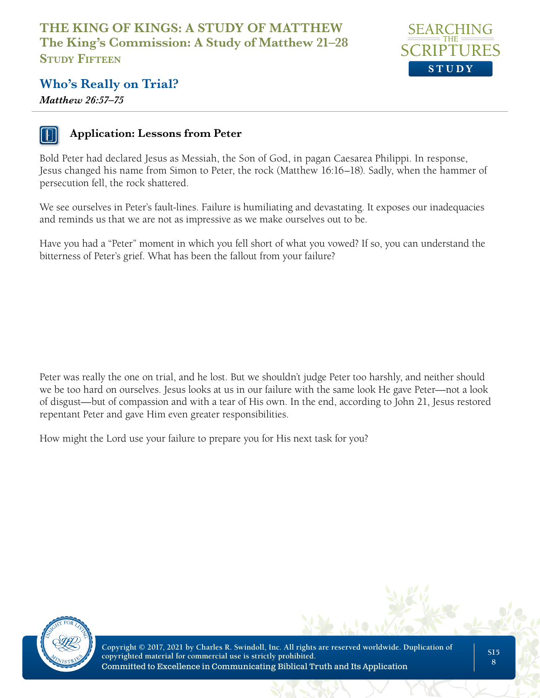

# **Who's Really on Trial?**

*Matthew 26:57–75*



#### **Application: Lessons from Peter**

Bold Peter had declared Jesus as Messiah, the Son of God, in pagan Caesarea Philippi. In response, Jesus changed his name from Simon to Peter, the rock (Matthew 16:16–18). Sadly, when the hammer of persecution fell, the rock shattered.

We see ourselves in Peter's fault-lines. Failure is humiliating and devastating. It exposes our inadequacies and reminds us that we are not as impressive as we make ourselves out to be.

Have you had a "Peter" moment in which you fell short of what you vowed? If so, you can understand the bitterness of Peter's grief. What has been the fallout from your failure?

Peter was really the one on trial, and he lost. But we shouldn't judge Peter too harshly, and neither should we be too hard on ourselves. Jesus looks at us in our failure with the same look He gave Peter—not a look of disgust—but of compassion and with a tear of His own. In the end, according to John 21, Jesus restored repentant Peter and gave Him even greater responsibilities.

How might the Lord use your failure to prepare you for His next task for you?